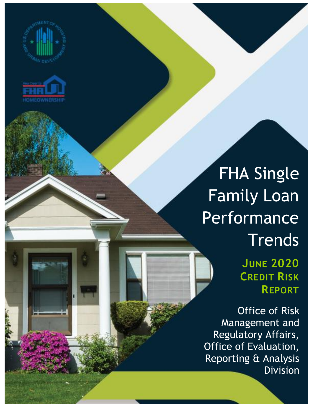



## FHA Single Family Loan Performance **Trends**

**JUNE 2020 CREDIT RISK REPORT**

Office of Risk Management and Regulatory Affairs, Office of Evaluation, Reporting & Analysis Division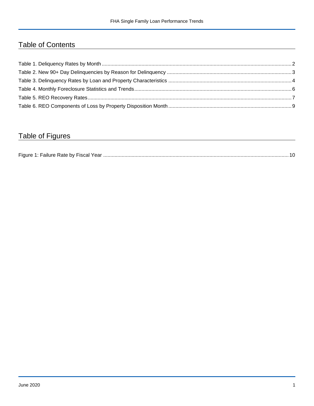## Table of Contents

## Table of Figures

| Figure 1<br>Failure Rate by Fiscal Year. |  |
|------------------------------------------|--|
|------------------------------------------|--|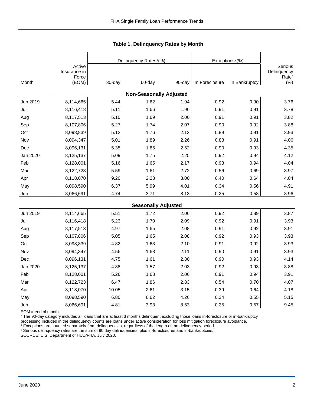|          |                        |        | Delinquency Rates <sup>a</sup> (%) |        | Exceptions <sup>b</sup> (%) |               |                                             |
|----------|------------------------|--------|------------------------------------|--------|-----------------------------|---------------|---------------------------------------------|
|          | Active<br>Insurance in |        |                                    |        |                             |               | Serious<br>Delinquency<br>Rate <sup>c</sup> |
| Month    | Force<br>(EOM)         | 30-day | 60-day                             | 90-day | In Foreclosure              | In Bankruptcy | (% )                                        |
|          |                        |        | <b>Non-Seasonally Adjusted</b>     |        |                             |               |                                             |
| Jun 2019 | 8,114,665              | 5.44   | 1.62                               | 1.94   | 0.92                        | 0.90          | 3.76                                        |
| Jul      | 8,116,418              | 5.11   | 1.66                               | 1.96   | 0.91                        | 0.91          | 3.78                                        |
| Aug      | 8,117,513              | 5.10   | 1.69                               | 2.00   | 0.91                        | 0.91          | 3.82                                        |
| Sep      | 8,107,806              | 5.27   | 1.74                               | 2.07   | 0.90                        | 0.92          | 3.88                                        |
| Oct      | 8,098,839              | 5.12   | 1.76                               | 2.13   | 0.89                        | 0.91          | 3.93                                        |
| Nov      | 8,094,347              | 5.01   | 1.89                               | 2.26   | 0.88                        | 0.91          | 4.06                                        |
| Dec      | 8,096,131              | 5.35   | 1.85                               | 2.52   | 0.90                        | 0.93          | 4.35                                        |
| Jan 2020 | 8,125,137              | 5.09   | 1.75                               | 2.25   | 0.92                        | 0.94          | 4.12                                        |
| Feb      | 8,128,001              | 5.16   | 1.65                               | 2.17   | 0.93                        | 0.94          | 4.04                                        |
| Mar      | 8,122,723              | 5.59   | 1.61                               | 2.72   | 0.56                        | 0.69          | 3.97                                        |
| Apr      | 8,118,070              | 9.20   | 2.28                               | 3.00   | 0.40                        | 0.64          | 4.04                                        |
| May      | 8,098,590              | 6.37   | 5.99                               | 4.01   | 0.34                        | 0.56          | 4.91                                        |
| Jun      | 8,066,691              | 4.74   | 3.71                               | 8.13   | 0.25                        | 0.58          | 8.96                                        |
|          |                        |        | <b>Seasonally Adjusted</b>         |        |                             |               |                                             |
| Jun 2019 | 8,114,665              | 5.51   | 1.72                               | 2.06   | 0.92                        | 0.89          | 3.87                                        |
| Jul      | 8,116,418              | 5.23   | 1.70                               | 2.09   | 0.92                        | 0.91          | 3.93                                        |
| Aug      | 8,117,513              | 4.97   | 1.65                               | 2.08   | 0.91                        | 0.92          | 3.91                                        |
| Sep      | 8,107,806              | 5.05   | 1.65                               | 2.08   | 0.92                        | 0.93          | 3.93                                        |
| Oct      | 8,098,839              | 4.82   | 1.63                               | 2.10   | 0.91                        | 0.92          | 3.93                                        |
| Nov      | 8,094,347              | 4.56   | 1.68                               | 2.11   | 0.90                        | 0.91          | 3.93                                        |
| Dec      | 8,096,131              | 4.75   | 1.61                               | 2.30   | 0.90                        | 0.93          | 4.14                                        |
| Jan 2020 | 8,125,137              | 4.88   | 1.57                               | 2.03   | 0.92                        | 0.93          | 3.88                                        |
| Feb      | 8,128,001              | 5.26   | 1.68                               | 2.06   | 0.91                        | 0.94          | 3.91                                        |
| Mar      | 8,122,723              | 6.47   | 1.86                               | 2.83   | 0.54                        | 0.70          | 4.07                                        |
| Apr      | 8,118,070              | 10.05  | 2.61                               | 3.15   | 0.39                        | 0.64          | 4.18                                        |
| May      | 8,098,590              | 6.80   | 6.62                               | 4.26   | 0.34                        | 0.55          | 5.15                                        |
| Jun      | 8,066,691              | 4.81   | 3.93                               | 8.63   | 0.25                        | 0.57          | 9.45                                        |

<span id="page-2-0"></span>**Table 1. Delinquency Rates by Month**

EOM = end of month.

<sup>a</sup> The 90-day category includes all loans that are at least 3 months delinquent excluding those loans in-foreclosure or in-bankruptcy

processing.Included in the delinquency counts are loans under active consideration for loss mitigation foreclosure avoidance.

 $b$  Exceptions are counted separately from delinquencies, regardless of the length of the delinquency period.

<sup>c</sup> Serious delinquency rates are the sum of 90 day delinquencies, plus in-foreclosures and in-bankruptcies.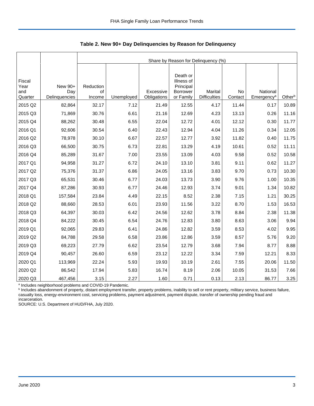|                                  |                                 |                           | Share by Reason for Delinquency (%) |                          |                                                                     |                                       |               |                                    |        |  |  |  |
|----------------------------------|---------------------------------|---------------------------|-------------------------------------|--------------------------|---------------------------------------------------------------------|---------------------------------------|---------------|------------------------------------|--------|--|--|--|
| Fiscal<br>Year<br>and<br>Quarter | New 90+<br>Day<br>Delinquencies | Reduction<br>of<br>Income | Unemployed                          | Excessive<br>Obligations | Death or<br>Illness of<br>Principal<br><b>Borrower</b><br>or Family | <b>Marital</b><br><b>Difficulties</b> | No<br>Contact | National<br>Emergency <sup>a</sup> | Otherb |  |  |  |
| 2015 Q2                          | 82,864                          | 32.17                     | 7.12                                | 21.49                    | 12.55                                                               | 4.17                                  | 11.44         | 0.17                               | 10.89  |  |  |  |
| 2015 Q3                          | 71,869                          | 30.76                     | 6.61                                | 21.16                    | 12.69                                                               | 4.23                                  | 13.13         | 0.26                               | 11.16  |  |  |  |
| 2015 Q4                          | 88,262                          | 30.48                     | 6.55                                | 22.04                    | 12.72                                                               | 4.01                                  | 12.12         | 0.30                               | 11.77  |  |  |  |
| 2016 Q1                          | 92,606                          | 30.54                     | 6.40                                | 22.43                    | 12.94                                                               | 4.04                                  | 11.26         | 0.34                               | 12.05  |  |  |  |
| 2016 Q2                          | 78,978                          | 30.10                     | 6.67                                | 22.57                    | 12.77                                                               | 3.92                                  | 11.82         | 0.40                               | 11.75  |  |  |  |
| 2016 Q3                          | 66,500                          | 30.75                     | 6.73                                | 22.81                    | 13.29                                                               | 4.19                                  | 10.61         | 0.52                               | 11.11  |  |  |  |
| 2016 Q4                          | 85,289                          | 31.67                     | 7.00                                | 23.55                    | 13.09                                                               | 4.03                                  | 9.58          | 0.52                               | 10.58  |  |  |  |
| 2017 Q1                          | 94,958                          | 31.27                     | 6.72                                | 24.10                    | 13.10                                                               | 3.81                                  | 9.11          | 0.62                               | 11.27  |  |  |  |
| 2017 Q2                          | 75,376                          | 31.37                     | 6.86                                | 24.05                    | 13.16                                                               | 3.83                                  | 9.70          | 0.73                               | 10.30  |  |  |  |
| 2017 Q3                          | 65,531                          | 30.46                     | 6.77                                | 24.03                    | 13.73                                                               | 3.90                                  | 9.76          | 1.00                               | 10.35  |  |  |  |
| 2017 Q4                          | 87,286                          | 30.93                     | 6.77                                | 24.46                    | 12.93                                                               | 3.74                                  | 9.01          | 1.34                               | 10.82  |  |  |  |
| 2018 Q1                          | 157,584                         | 23.84                     | 4.49                                | 22.15                    | 8.52                                                                | 2.38                                  | 7.15          | 1.21                               | 30.25  |  |  |  |
| 2018 Q2                          | 88,660                          | 28.53                     | 6.01                                | 23.93                    | 11.56                                                               | 3.22                                  | 8.70          | 1.53                               | 16.53  |  |  |  |
| 2018 Q3                          | 64,397                          | 30.03                     | 6.42                                | 24.56                    | 12.62                                                               | 3.78                                  | 8.84          | 2.38                               | 11.38  |  |  |  |
| 2018 Q4                          | 84,222                          | 30.45                     | 6.54                                | 24.76                    | 12.83                                                               | 3.80                                  | 8.63          | 3.06                               | 9.94   |  |  |  |
| 2019 Q1                          | 92,065                          | 29.83                     | 6.41                                | 24.86                    | 12.82                                                               | 3.59                                  | 8.53          | 4.02                               | 9.95   |  |  |  |
| 2019 Q2                          | 84,788                          | 29.58                     | 6.58                                | 23.86                    | 12.86                                                               | 3.59                                  | 8.57          | 5.76                               | 9.20   |  |  |  |
| 2019 Q3                          | 69,223                          | 27.79                     | 6.62                                | 23.54                    | 12.79                                                               | 3.68                                  | 7.94          | 8.77                               | 8.88   |  |  |  |
| 2019 Q4                          | 90,457                          | 26.60                     | 6.59                                | 23.12                    | 12.22                                                               | 3.34                                  | 7.59          | 12.21                              | 8.33   |  |  |  |
| 2020 Q1                          | 113,969                         | 22.24                     | 5.93                                | 19.93                    | 10.19                                                               | 2.61                                  | 7.55          | 20.06                              | 11.50  |  |  |  |
| 2020 Q2                          | 86,542                          | 17.94                     | 5.83                                | 16.74                    | 8.19                                                                | 2.06                                  | 10.05         | 31.53                              | 7.66   |  |  |  |
| 2020 Q3                          | 467,456                         | 3.15                      | 2.27                                | 1.60                     | 0.71                                                                | 0.13                                  | 2.13          | 86.77                              | 3.25   |  |  |  |

<span id="page-3-0"></span>**Table 2. New 90+ Day Delinquencies by Reason for Delinquency**

a Includes neighborhood problems and COVID-19 Pandemic.

**b** Includes abandonment of property, distant employment transfer, property problems, inability to sell or rent property, military service, business failure, casualty loss, energy-environment cost, servicing problems, payment adjustment, payment dispute, transfer of ownership pending fraud and incarceration.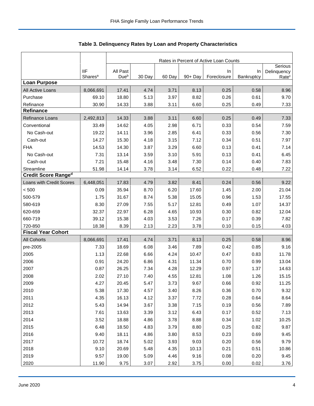|                            |                     | Rates in Percent of Active Loan Counts |        |        |         |             |            |                        |  |
|----------------------------|---------------------|----------------------------------------|--------|--------|---------|-------------|------------|------------------------|--|
|                            | <b>IIF</b>          | All Past                               |        |        |         | In          | In         | Serious<br>Delinquency |  |
|                            | Shares <sup>a</sup> | Due <sup>b</sup>                       | 30 Day | 60 Day | 90+ Day | Foreclosure | Bankruptcy | Rate <sup>c</sup>      |  |
| <b>Loan Purpose</b>        |                     |                                        |        |        |         |             |            |                        |  |
| All Active Loans           | 8,066,691           | 17.41                                  | 4.74   | 3.71   | 8.13    | 0.25        | 0.58       | 8.96                   |  |
| Purchase                   | 69.10               | 18.80                                  | 5.13   | 3.97   | 8.82    | 0.26        | 0.61       | 9.70                   |  |
| Refinance                  | 30.90               | 14.33                                  | 3.88   | 3.11   | 6.60    | 0.25        | 0.49       | 7.33                   |  |
| Refinance                  |                     |                                        |        |        |         |             |            |                        |  |
| Refinance Loans            | 2,492,813           | 14.33                                  | 3.88   | 3.11   | 6.60    | 0.25        | 0.49       | 7.33                   |  |
| Conventional               | 33.49               | 14.62                                  | 4.05   | 2.98   | 6.71    | 0.33        | 0.54       | 7.59                   |  |
| No Cash-out                | 19.22               | 14.11                                  | 3.96   | 2.85   | 6.41    | 0.33        | 0.56       | 7.30                   |  |
| Cash-out                   | 14.27               | 15.30                                  | 4.18   | 3.15   | 7.12    | 0.34        | 0.51       | 7.97                   |  |
| <b>FHA</b>                 | 14.53               | 14.30                                  | 3.87   | 3.29   | 6.60    | 0.13        | 0.41       | 7.14                   |  |
| No Cash-out                | 7.31                | 13.14                                  | 3.59   | 3.10   | 5.91    | 0.13        | 0.41       | 6.45                   |  |
| Cash-out                   | 7.21                | 15.48                                  | 4.16   | 3.48   | 7.30    | 0.14        | 0.40       | 7.83                   |  |
| Streamline                 | 51.98               | 14.14                                  | 3.78   | 3.14   | 6.52    | 0.22        | 0.48       | 7.22                   |  |
| <b>Credit Score Ranged</b> |                     |                                        |        |        |         |             |            |                        |  |
| Loans with Credit Scores   | 6,448,051           | 17.83                                  | 4.79   | 3.82   | 8.41    | 0.24        | 0.56       | 9.22                   |  |
| < 500                      | 0.09                | 35.94                                  | 8.70   | 6.20   | 17.60   | 1.45        | 2.00       | 21.04                  |  |
| 500-579                    | 1.75                | 31.67                                  | 8.74   | 5.38   | 15.05   | 0.96        | 1.53       | 17.55                  |  |
| 580-619                    | 8.30                | 27.09                                  | 7.55   | 5.17   | 12.81   | 0.49        | 1.07       | 14.37                  |  |
| 620-659                    | 32.37               | 22.97                                  | 6.28   | 4.65   | 10.93   | 0.30        | 0.82       | 12.04                  |  |
| 660-719                    | 39.12               | 15.38                                  | 4.03   | 3.53   | 7.26    | 0.17        | 0.39       | 7.82                   |  |
| 720-850                    | 18.38               | 8.39                                   | 2.13   | 2.23   | 3.78    | 0.10        | 0.15       | 4.03                   |  |
| <b>Fiscal Year Cohort</b>  |                     |                                        |        |        |         |             |            |                        |  |
| <b>All Cohorts</b>         | 8,066,691           | 17.41                                  | 4.74   | 3.71   | 8.13    | 0.25        | 0.58       | 8.96                   |  |
| pre-2005                   | 7.33                | 18.69                                  | 6.08   | 3.46   | 7.89    | 0.42        | 0.85       | 9.16                   |  |
| 2005                       | 1.13                | 22.68                                  | 6.66   | 4.24   | 10.47   | 0.47        | 0.83       | 11.78                  |  |
| 2006                       | 0.91                | 24.20                                  | 6.86   | 4.31   | 11.34   | 0.70        | 0.99       | 13.04                  |  |
| 2007                       | 0.87                | 26.25                                  | 7.34   | 4.28   | 12.29   | 0.97        | 1.37       | 14.63                  |  |
| 2008                       | 2.02                | 27.10                                  | 7.40   | 4.55   | 12.81   | 1.08        | 1.26       | 15.15                  |  |
| 2009                       | 4.27                | 20.45                                  | 5.47   | 3.73   | 9.67    | 0.66        | 0.92       | 11.25                  |  |
| 2010                       | 5.38                | 17.30                                  | 4.57   | 3.40   | 8.26    | 0.36        | 0.70       | 9.32                   |  |
| 2011                       | 4.35                | 16.13                                  | 4.12   | 3.37   | 7.72    | 0.28        | 0.64       | 8.64                   |  |
| 2012                       | 5.43                | 14.94                                  | 3.67   | 3.38   | 7.15    | 0.19        | 0.56       | 7.89                   |  |
| 2013                       | 7.61                | 13.63                                  | 3.39   | 3.12   | 6.43    | 0.17        | 0.52       | 7.13                   |  |
| 2014                       | 3.52                | 18.88                                  | 4.86   | 3.78   | 8.88    | 0.34        | 1.02       | 10.25                  |  |
| 2015                       | 6.48                | 18.50                                  | 4.83   | 3.79   | 8.80    | 0.25        | 0.82       | 9.87                   |  |
| 2016                       | 9.40                | 18.11                                  | 4.86   | 3.80   | 8.53    | 0.23        | 0.69       | 9.45                   |  |
| 2017                       | 10.72               | 18.74                                  | 5.02   | 3.93   | 9.03    | 0.20        | 0.56       | 9.79                   |  |
| 2018                       | 9.10                | 20.69                                  | 5.48   | 4.35   | 10.13   | 0.21        | 0.51       | 10.86                  |  |
| 2019                       | 9.57                | 19.00                                  | 5.09   | 4.46   | 9.16    | 0.08        | 0.20       | 9.45                   |  |
| 2020                       | 11.90               | 9.75                                   | 3.07   | 2.92   | 3.75    | 0.00        | 0.02       | 3.76                   |  |

<span id="page-4-0"></span>Table 3. Delinquency Rates by Loan and Property Characteristics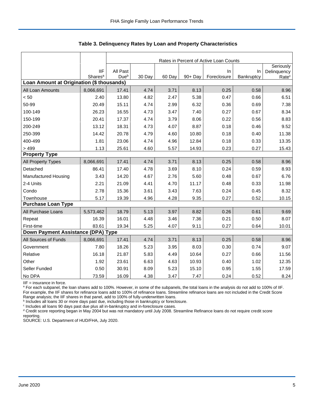|                                           |                            |                              | Rates in Percent of Active Loan Counts |        |         |             |            |                   |  |  |
|-------------------------------------------|----------------------------|------------------------------|----------------------------------------|--------|---------|-------------|------------|-------------------|--|--|
|                                           |                            |                              |                                        |        |         |             |            | Seriously         |  |  |
|                                           | IIF<br>Shares <sup>a</sup> | All Past<br>Due <sup>b</sup> |                                        |        | 90+ Day | In          | In         | Delinquency       |  |  |
| Loan Amount at Origination (\$ thousands) |                            |                              | 30 Day                                 | 60 Day |         | Foreclosure | Bankruptcy | Rate <sup>c</sup> |  |  |
| All Loan Amounts                          | 8,066,691                  | 17.41                        | 4.74                                   | 3.71   | 8.13    | 0.25        | 0.58       | 8.96              |  |  |
| < 50                                      | 2.40                       | 13.80                        | 4.82                                   | 2.47   | 5.38    | 0.47        | 0.66       | 6.51              |  |  |
| 50-99                                     | 20.49                      | 15.11                        | 4.74                                   | 2.99   | 6.32    | 0.36        | 0.69       | 7.38              |  |  |
| 100-149                                   | 26.23                      | 16.55                        | 4.73                                   | 3.47   | 7.40    | 0.27        | 0.67       | 8.34              |  |  |
| 150-199                                   | 20.41                      | 17.37                        | 4.74                                   | 3.79   | 8.06    | 0.22        | 0.56       | 8.83              |  |  |
| 200-249                                   | 13.12                      | 18.31                        | 4.73                                   | 4.07   | 8.87    | 0.18        | 0.46       | 9.52              |  |  |
| 250-399                                   | 14.42                      | 20.78                        | 4.79                                   | 4.60   | 10.80   | 0.18        | 0.40       | 11.38             |  |  |
| 400-499                                   | 1.81                       | 23.06                        | 4.74                                   | 4.96   | 12.84   | 0.18        | 0.33       | 13.35             |  |  |
| >499                                      | 1.13                       | 25.61                        | 4.60                                   | 5.57   | 14.93   | 0.23        | 0.27       | 15.43             |  |  |
| <b>Property Type</b>                      |                            |                              |                                        |        |         |             |            |                   |  |  |
| All Property Types                        | 8,066,691                  | 17.41                        | 4.74                                   | 3.71   | 8.13    | 0.25        | 0.58       | 8.96              |  |  |
| Detached                                  | 86.41                      | 17.40                        | 4.78                                   | 3.69   | 8.10    | 0.24        | 0.59       | 8.93              |  |  |
| <b>Manufactured Housing</b>               | 3.43                       | 14.20                        | 4.67                                   | 2.76   | 5.60    | 0.48        | 0.67       | 6.76              |  |  |
| 2-4 Units                                 | 2.21                       | 21.09                        | 4.41                                   | 4.70   | 11.17   | 0.48        | 0.33       | 11.98             |  |  |
| Condo                                     | 2.78                       | 15.36                        | 3.61                                   | 3.43   | 7.63    | 0.24        | 0.45       | 8.32              |  |  |
| Townhouse                                 | 5.17                       | 19.39                        | 4.96                                   | 4.28   | 9.35    | 0.27        | 0.52       | 10.15             |  |  |
| <b>Purchase Loan Type</b>                 |                            |                              |                                        |        |         |             |            |                   |  |  |
| All Purchase Loans                        | 5,573,462                  | 18.79                        | 5.13                                   | 3.97   | 8.82    | 0.26        | 0.61       | 9.69              |  |  |
| Repeat                                    | 16.39                      | 16.01                        | 4.48                                   | 3.46   | 7.36    | 0.21        | 0.50       | 8.07              |  |  |
| First-time                                | 83.61                      | 19.34                        | 5.25                                   | 4.07   | 9.11    | 0.27        | 0.64       | 10.01             |  |  |
| Down Payment Assistance (DPA) Type        |                            |                              |                                        |        |         |             |            |                   |  |  |
| All Sources of Funds                      | 8,066,691                  | 17.41                        | 4.74                                   | 3.71   | 8.13    | 0.25        | 0.58       | 8.96              |  |  |
| Government                                | 7.80                       | 18.26                        | 5.23                                   | 3.95   | 8.03    | 0.30        | 0.74       | 9.07              |  |  |
| Relative                                  | 16.18                      | 21.87                        | 5.83                                   | 4.49   | 10.64   | 0.27        | 0.66       | 11.56             |  |  |
| Other                                     | 1.92                       | 23.61                        | 6.63                                   | 4.63   | 10.93   | 0.40        | 1.02       | 12.35             |  |  |
| Seller Funded                             | 0.50                       | 30.91                        | 8.09                                   | 5.23   | 15.10   | 0.95        | 1.55       | 17.59             |  |  |
| No DPA                                    | 73.59                      | 16.09                        | 4.38                                   | 3.47   | 7.47    | 0.24        | 0.52       | 8.24              |  |  |

**Table 3. Delinquency Rates by Loan and Property Characteristics**

IIF = insurance in force.

<sup>a</sup> For each subpanel, the loan shares add to 100%. However, in some of the subpanels, the total loans in the analysis do not add to 100% of IIF. For example, the IIF shares for refinance loans add to 100% of refinance loans. Streamline refinance loans are not included in the Credit Score

Range analysis; the IIF shares in that panel, add to 100% of fully-underwritten loans.<br><sup>b</sup> Includes all loans 30 or more days past due, including those in bankruptcy or foreclosure.

c Includes all loans 90 days past due plus all in-bankruptcy and in-foreclosure cases.

<sup>d</sup> Credit score reporting began in May 2004 but was not mandatory until July 2008. Streamline Refinance loans do not require credit score reporting.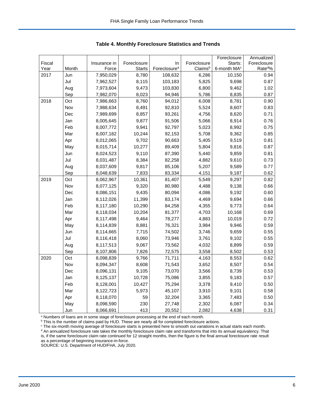|        |       |              |               |                          |             | Foreclosure             | Annualized         |
|--------|-------|--------------|---------------|--------------------------|-------------|-------------------------|--------------------|
| Fiscal |       | Insurance in | Foreclosure   | In                       | Foreclosure | Starts:                 | Foreclosure        |
| Year   | Month | Force        | <b>Starts</b> | Foreclosure <sup>a</sup> | Claimsb     | 6-month MA <sup>c</sup> | Rate <sup>d%</sup> |
| 2017   | Jun   | 7,950,029    | 8,780         | 108,632                  | 6,286       | 10,150                  | 0.94               |
|        | Jul   | 7,962,527    | 8,115         | 103,183                  | 5,825       | 9,698                   | 0.87               |
|        | Aug   | 7,973,604    | 9,473         | 103,830                  | 6,800       | 9,462                   | 1.02               |
|        | Sep   | 7,982,070    | 8,023         | 94,946                   | 5,786       | 8,835                   | 0.87               |
| 2018   | Oct   | 7,986,663    | 8,760         | 94,012                   | 6,008       | 8,781                   | 0.90               |
|        | Nov   | 7,988,634    | 8,491         | 92,810                   | 5,524       | 8,607                   | 0.83               |
|        | Dec   | 7,989,699    | 8,857         | 93,261                   | 4,756       | 8,620                   | 0.71               |
|        | Jan   | 8,005,645    | 9,877         | 91,506                   | 5,066       | 8,914                   | 0.76               |
|        | Feb   | 8,007,772    | 9,941         | 92,797                   | 5,023       | 8,992                   | 0.75               |
|        | Mar   | 8,007,182    | 10,244        | 92,153                   | 5,708       | 9,362                   | 0.85               |
|        | Apr   | 8,012,065    | 9,702         | 90,663                   | 5,405       | 9,519                   | 0.81               |
|        | May   | 8,015,714    | 10,277        | 89,409                   | 5,804       | 9,816                   | 0.87               |
|        | Jun   | 8,024,523    | 9,110         | 87,390                   | 5,440       | 9,859                   | 0.81               |
|        | Jul   | 8,031,487    | 8,384         | 82,258                   | 4,882       | 9,610                   | 0.73               |
|        | Aug   | 8,037,609    | 9,817         | 85,106                   | 5,207       | 9,589                   | 0.77               |
|        | Sep   | 8,048,639    | 7,833         | 83,334                   | 4,151       | 9,187                   | 0.62               |
| 2019   | Oct   | 8,062,967    | 10,361        | 81,407                   | 5,549       | 9,297                   | 0.82               |
|        | Nov   | 8,077,125    | 9,320         | 80,980                   | 4,488       | 9,138                   | 0.66               |
|        | Dec   | 8,086,151    | 9,435         | 80,094                   | 4,086       | 9,192                   | 0.60               |
|        | Jan   | 8,112,026    | 11,399        | 83,174                   | 4,469       | 9,694                   | 0.66               |
|        | Feb   | 8,117,180    | 10,290        | 84,258                   | 4,355       | 9,773                   | 0.64               |
|        | Mar   | 8,118,034    | 10,204        | 81,377                   | 4,703       | 10,168                  | 0.69               |
|        | Apr   | 8,117,498    | 9,464         | 78,277                   | 4,883       | 10,019                  | 0.72               |
|        | May   | 8,114,839    | 8,881         | 76,321                   | 3,984       | 9,946                   | 0.59               |
|        | Jun   | 8,114,665    | 7,715         | 74,502                   | 3,746       | 9,659                   | 0.55               |
|        | Jul   | 8,116,418    | 8,060         | 73,946                   | 3,761       | 9,102                   | 0.55               |
|        | Aug   | 8,117,513    | 9,067         | 73,562                   | 4,032       | 8,899                   | 0.59               |
|        | Sep   | 8,107,806    | 7,826         | 72,575                   | 3,558       | 8,502                   | 0.53               |
| 2020   | Oct   | 8,098,839    | 9,766         | 71,711                   | 4,163       | 8,553                   | 0.62               |
|        | Nov   | 8,094,347    | 8,608         | 71,543                   | 3,652       | 8,507                   | 0.54               |
|        | Dec   | 8,096,131    | 9,105         | 73,070                   | 3,566       | 8,739                   | 0.53               |
|        | Jan   | 8,125,137    | 10,728        | 75,086                   | 3,855       | 9,183                   | 0.57               |
|        | Feb   | 8,128,001    | 10,427        | 75,294                   | 3,378       | 9,410                   | 0.50               |
|        | Mar   | 8,122,723    | 5,973         | 45,107                   | 3,910       | 9,101                   | 0.58               |
|        | Apr   | 8,118,070    | 59            | 32,204                   | 3,365       | 7,483                   | 0.50               |
|        | May   | 8,098,590    | 230           | 27,748                   | 2,302       | 6,087                   | 0.34               |
|        | Jun   | 8,066,691    | 413           | 20,552                   | 2,082       | 4,638                   | 0.31               |

<span id="page-6-0"></span>**Table 4. Monthly Foreclosure Statistics and Trends**

<sup>a</sup> Numbers of loans are in some stage of foreclosure processing at the end of each month.

b This is the number of claims paid by HUD. These are nearly all for completed foreclosure actions.

<sup>c</sup> The six-month moving average of foreclosure starts is presented here to smooth out variations in actual starts each month. <sup>d</sup> An annualized foreclosure rate takes the monthly foreclosure claim rate and transforms that into its annual equivalency. That is, if the same foreclosure claim rate continued for 12 straight months, then the figure is the final annual foreclosure rate result as a percentage of beginning insurance-in-force.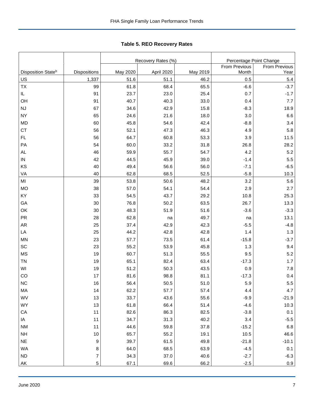|                                |                  |          | Recovery Rates (%) | Percentage Point Change |               |               |  |
|--------------------------------|------------------|----------|--------------------|-------------------------|---------------|---------------|--|
|                                |                  |          |                    |                         | From Previous | From Previous |  |
| Disposition State <sup>b</sup> | Dispositions     | May 2020 | April 2020         | May 2019                | Month         | Year          |  |
| US                             | 1,337            | 51.6     | 51.1               | 46.2                    | 0.5           | 5.4           |  |
| <b>TX</b>                      | 99               | 61.8     | 68.4               | 65.5                    | $-6.6$        | $-3.7$        |  |
| IL.                            | 91               | 23.7     | 23.0               | 25.4                    | 0.7           | $-1.7$        |  |
| OH                             | 91               | 40.7     | 40.3               | 33.0                    | 0.4           | 7.7           |  |
| <b>NJ</b>                      | 67               | 34.6     | 42.9               | 15.8                    | $-8.3$        | 18.9          |  |
| <b>NY</b>                      | 65               | 24.6     | 21.6               | 18.0                    | 3.0           | 6.6           |  |
| MD                             | 60               | 45.8     | 54.6               | 42.4                    | $-8.8$        | 3.4           |  |
| <b>CT</b>                      | 56               | 52.1     | 47.3               | 46.3                    | 4.9           | 5.8           |  |
| FL                             | 56               | 64.7     | 60.8               | 53.3                    | 3.9           | 11.5          |  |
| PA                             | 54               | 60.0     | 33.2               | 31.8                    | 26.8          | 28.2          |  |
| AL                             | 46               | 59.9     | 55.7               | 54.7                    | 4.2           | 5.2           |  |
| IN                             | 42               | 44.5     | 45.9               | 39.0                    | $-1.4$        | 5.5           |  |
| KS                             | 40               | 49.4     | 56.6               | 56.0                    | $-7.1$        | $-6.5$        |  |
| VA                             | 40               | 62.8     | 68.5               | 52.5                    | $-5.8$        | 10.3          |  |
| MI                             | 39               | 53.8     | 50.6               | 48.2                    | 3.2           | 5.6           |  |
| <b>MO</b>                      | 38               | 57.0     | 54.1               | 54.4                    | 2.9           | 2.7           |  |
| KY                             | 33               | 54.5     | 43.7               | 29.2                    | 10.8          | 25.3          |  |
| GA                             | 30               | 76.8     | 50.2               | 63.5                    | 26.7          | 13.3          |  |
| OK                             | 30               | 48.3     | 51.9               | 51.6                    | $-3.6$        | $-3.3$        |  |
| <b>PR</b>                      | 28               | 62.8     | na                 | 49.7                    | na            | 13.1          |  |
| <b>AR</b>                      | 25               | 37.4     | 42.9               | 42.3                    | $-5.5$        | $-4.8$        |  |
| LA                             | 25               | 44.2     | 42.8               | 42.8                    | 1.4           | 1.3           |  |
| MN                             | 23               | 57.7     | 73.5               | 61.4                    | $-15.8$       | $-3.7$        |  |
| SC                             | 23               | 55.2     | 53.9               | 45.8                    | 1.3           | 9.4           |  |
| <b>MS</b>                      | 19               | 60.7     | 51.3               | 55.5                    | 9.5           | 5.2           |  |
| <b>TN</b>                      | 19               | 65.1     | 82.4               | 63.4                    | $-17.3$       | 1.7           |  |
| WI                             | 19               | 51.2     | 50.3               | 43.5                    | 0.9           | 7.8           |  |
| CO                             | 17               | 81.6     | 98.8               | 81.1                    | $-17.3$       | 0.4           |  |
| <b>NC</b>                      | 16               | 56.4     | 50.5               | 51.0                    | 5.9           | 5.5           |  |
| MA                             | 14               | 62.2     | 57.7               | 57.4                    | 4.4           | 4.7           |  |
| WV                             | 13               | 33.7     | 43.6               | 55.6                    | $-9.9$        | $-21.9$       |  |
| WY                             | $13$             | 61.8     | 66.4               | 51.4                    | $-4.6$        | 10.3          |  |
| CA                             | 11               | 82.6     | 86.3               | 82.5                    | $-3.8$        | 0.1           |  |
| IA                             | 11               | 34.7     | 31.3               | 40.2                    | $3.4$         | $-5.5$        |  |
| <b>NM</b>                      | 11               | 44.6     | 59.8               | 37.8                    | $-15.2$       | 6.8           |  |
| <b>NH</b>                      | $10$             | 65.7     | 55.2               | 19.1                    | 10.5          | 46.6          |  |
| $\sf NE$                       | 9                | 39.7     | 61.5               | 49.8                    | $-21.8$       | $-10.1$       |  |
| WA                             | 8                | 64.0     | 68.5               | 63.9                    | $-4.5$        | 0.1           |  |
| ND                             | $\boldsymbol{7}$ | 34.3     | 37.0               | 40.6                    | $-2.7$        | $-6.3$        |  |
| AK                             | $\overline{5}$   | 67.1     | 69.6               | 66.2                    | $-2.5$        | 0.9           |  |

<span id="page-7-0"></span>Tabl e 5. REO R ecovery R ates **Table 5. REO Recovery Rates**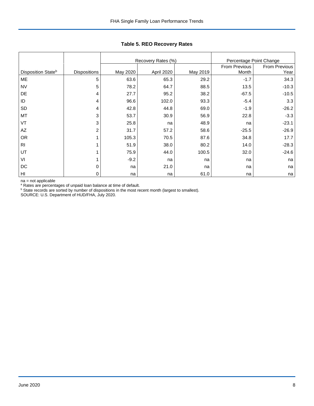|                                |                     |          | Recovery Rates (%) |          | Percentage Point Change |                       |
|--------------------------------|---------------------|----------|--------------------|----------|-------------------------|-----------------------|
| Disposition State <sup>b</sup> | <b>Dispositions</b> | May 2020 | April 2020         | May 2019 | From Previous<br>Month  | From Previous<br>Year |
| ME                             | 5                   | 63.6     | 65.3               | 29.2     | $-1.7$                  | 34.3                  |
| <b>NV</b>                      | 5                   | 78.2     | 64.7               | 88.5     | 13.5                    | $-10.3$               |
| DE                             | 4                   | 27.7     | 95.2               | 38.2     | $-67.5$                 | $-10.5$               |
| ID                             | 4                   | 96.6     | 102.0              | 93.3     | $-5.4$                  | 3.3                   |
| <b>SD</b>                      | 4                   | 42.8     | 44.8               | 69.0     | $-1.9$                  | $-26.2$               |
| MT                             | 3                   | 53.7     | 30.9               | 56.9     | 22.8                    | $-3.3$                |
| VT                             | 3                   | 25.8     | na                 | 48.9     | na                      | $-23.1$               |
| AZ                             | $\overline{c}$      | 31.7     | 57.2               | 58.6     | $-25.5$                 | $-26.9$               |
| OR                             |                     | 105.3    | 70.5               | 87.6     | 34.8                    | 17.7                  |
| R <sub>l</sub>                 |                     | 51.9     | 38.0               | 80.2     | 14.0                    | $-28.3$               |
| UT                             |                     | 75.9     | 44.0               | 100.5    | 32.0                    | $-24.6$               |
| VI                             |                     | $-9.2$   | na                 | na       | na                      | na                    |
| DC                             | 0                   | na       | 21.0               | na       | na                      | na                    |
| H <sub>l</sub>                 | $\mathbf 0$         | na       | na                 | 61.0     | na                      | na                    |

## **Table 5. REO Recovery Rates**

na = not applicable

<sup>a</sup> Rates are percentages of unpaid loan balance at time of default.

 $\rm b$  State records are sorted by number of dispositions in the most recent month (largest to smallest).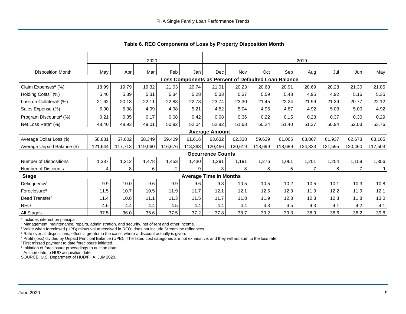|                                     | 2020    |         |         |                | 2019                                                 |                               |         |         |         |                |         |                |         |
|-------------------------------------|---------|---------|---------|----------------|------------------------------------------------------|-------------------------------|---------|---------|---------|----------------|---------|----------------|---------|
| <b>Disposition Month</b>            | May     | Apr     | Mar     | Feb            | Jan                                                  | Dec                           | Nov     | Oct     | Sep     | Aug            | Jul     | Jun            | May     |
|                                     |         |         |         |                | Loss Components as Percent of Defaulted Loan Balance |                               |         |         |         |                |         |                |         |
| Claim Expenses <sup>a</sup> (%)     | 18.99   | 19.79   | 19.32   | 21.03          | 20.74                                                | 21.01                         | 20.23   | 20.68   | 20.91   | 20.69          | 20.28   | 21.30          | 21.05   |
| Holding Costs <sup>b</sup> (%)      | 5.46    | 5.39    | 5.31    | 5.34           | 5.28                                                 | 5.33                          | 5.37    | 5.59    | 5.48    | 4.95           | 4.92    | 5.16           | 5.35    |
| Loss on Collateral <sup>c</sup> (%) | 21.62   | 20.13   | 22.11   | 22.88          | 22.78                                                | 23.74                         | 23.30   | 21.45   | 22.24   | 21.99          | 21.39   | 20.77          | 22.12   |
| Sales Expense (%)                   | 5.00    | 5.38    | 4.99    | 4.98           | 5.21                                                 | 4.82                          | 5.04    | 4.95    | 4.87    | 4.92           | 5.03    | 5.00           | 4.92    |
| Program Discounts <sup>d</sup> (%)  | 0.21    | 0.35    | 0.17    | 0.08           | 0.42                                                 | 0.08                          | 0.36    | 0.22    | 0.15    | 0.23           | 0.37    | 0.30           | 0.29    |
| Net Loss Rate <sup>e</sup> (%)      | 48.40   | 48.93   | 49.01   | 50.92          | 52.04                                                | 52.82                         | 51.68   | 50.24   | 51.40   | 51.37          | 50.94   | 52.03          | 53.76   |
|                                     |         |         |         |                |                                                      | <b>Average Amount</b>         |         |         |         |                |         |                |         |
| Average Dollar Loss (\$)            | 58,881  | 57.602  | 58,349  | 59,409         | 61.616                                               | 63,632                        | 62,338  | 59,639  | 61.005  | 63,867         | 61,937  | 62,673         | 63,165  |
| Average Unpaid Balance (\$)         | 121,644 | 117,713 | 119,060 | 116,676        | 118,393                                              | 120,466                       | 120,619 | 118,699 | 118,689 | 124,333        | 121,595 | 120,460        | 117,503 |
|                                     |         |         |         |                |                                                      | <b>Occurrence Counts</b>      |         |         |         |                |         |                |         |
| Number of Dispositions              | 1,337   | 1,212   | 1,478   | 1,453          | 1,430                                                | 1,291                         | 1,191   | 1,276   | 1,061   | 1,201          | 1,254   | 1,159          | 1,356   |
| Number of Discounts                 | 4       | 8       | 6       | $\overline{2}$ | 9                                                    | 3 <sub>1</sub>                | 8       | 8       | 5       | $\overline{7}$ | 8       | $\overline{7}$ | 9       |
| <b>Stage</b>                        |         |         |         |                |                                                      | <b>Average Time in Months</b> |         |         |         |                |         |                |         |
| Delinquencyf                        | 9.9     | 10.0    | 9.6     | 9.9            | 9.6                                                  | 9.8                           | 10.5    | 10.5    | 10.2    | 10.5           | 10.1    | 10.3           | 10.8    |
| Foreclosure <sup>g</sup>            | 11.5    | 10.7    | 10.5    | 11.9           | 11.7                                                 | 12.1                          | 12.1    | 12.5    | 12.3    | 11.9           | 12.2    | 11.9           | 12.1    |
| Deed Transferh                      | 11.4    | 10.8    | 11.1    | 11.3           | 11.5                                                 | 11.7                          | 11.8    | 11.9    | 12.3    | 12.3           | 12.3    | 11.8           | 13.0    |
| <b>REO</b>                          | 4.6     | 4.4     | 4.4     | 4.5            | 4.4                                                  | 4.4                           | 4.4     | 4.3     | 4.5     | 4.3            | 4.1     | 4.2            | 4.1     |
| All Stages                          | 37.5    | 36.0    | 35.6    | 37.5           | 37.2                                                 | 37.8                          | 38.7    | 39.2    | 39.3    | 38.9           | 38.6    | 38.2           | 39.8    |

<span id="page-9-0"></span>**Table 6. REO Components of Loss by Property Disposition Month**

<sup>a</sup> Includes interest on principal.

**b** Management, maintenance, repairs, administration, and security, net of rent and other income.

<sup>c</sup> Value when foreclosed (UPB) minus value received in REO; does not include Streamline refinances.

<sup>d</sup> Rate over all dispositions; effect is greater in the cases where a discount actually is given.

<sup>e</sup> Profit (loss) divided by Unpaid Principal Balance (UPB). The listed cost categories are not exhaustive, and they will not sum to the loss rate

<sup>f</sup> First missed payment to date foreclosure initiated.

<sup>g</sup> Initiation of foreclosure proceedings to auction date.

h Auction date to HUD acquisition date.